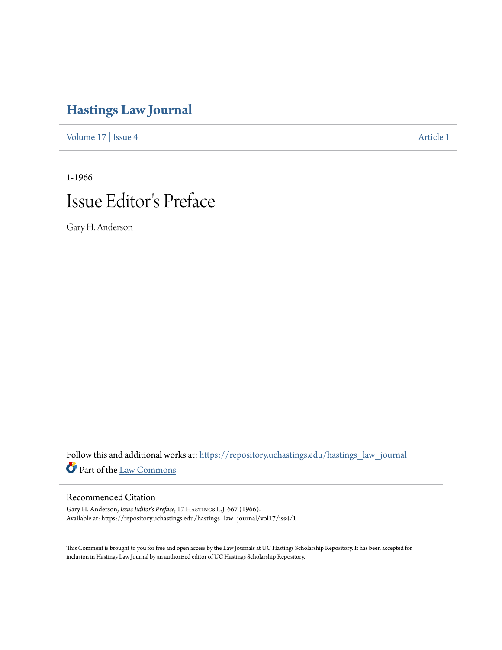## **[Hastings Law Journal](https://repository.uchastings.edu/hastings_law_journal?utm_source=repository.uchastings.edu%2Fhastings_law_journal%2Fvol17%2Fiss4%2F1&utm_medium=PDF&utm_campaign=PDFCoverPages)**

[Volume 17](https://repository.uchastings.edu/hastings_law_journal/vol17?utm_source=repository.uchastings.edu%2Fhastings_law_journal%2Fvol17%2Fiss4%2F1&utm_medium=PDF&utm_campaign=PDFCoverPages) | [Issue 4](https://repository.uchastings.edu/hastings_law_journal/vol17/iss4?utm_source=repository.uchastings.edu%2Fhastings_law_journal%2Fvol17%2Fiss4%2F1&utm_medium=PDF&utm_campaign=PDFCoverPages) [Article 1](https://repository.uchastings.edu/hastings_law_journal/vol17/iss4/1?utm_source=repository.uchastings.edu%2Fhastings_law_journal%2Fvol17%2Fiss4%2F1&utm_medium=PDF&utm_campaign=PDFCoverPages)

1-1966

## Issue Editor 's Preface

Gary H. Anderson

Follow this and additional works at: [https://repository.uchastings.edu/hastings\\_law\\_journal](https://repository.uchastings.edu/hastings_law_journal?utm_source=repository.uchastings.edu%2Fhastings_law_journal%2Fvol17%2Fiss4%2F1&utm_medium=PDF&utm_campaign=PDFCoverPages) Part of the [Law Commons](http://network.bepress.com/hgg/discipline/578?utm_source=repository.uchastings.edu%2Fhastings_law_journal%2Fvol17%2Fiss4%2F1&utm_medium=PDF&utm_campaign=PDFCoverPages)

## Recommended Citation

Gary H. Anderson, *Issue Editor's Preface*, 17 Hastings L.J. 667 (1966). Available at: https://repository.uchastings.edu/hastings\_law\_journal/vol17/iss4/1

This Comment is brought to you for free and open access by the Law Journals at UC Hastings Scholarship Repository. It has been accepted for inclusion in Hastings Law Journal by an authorized editor of UC Hastings Scholarship Repository.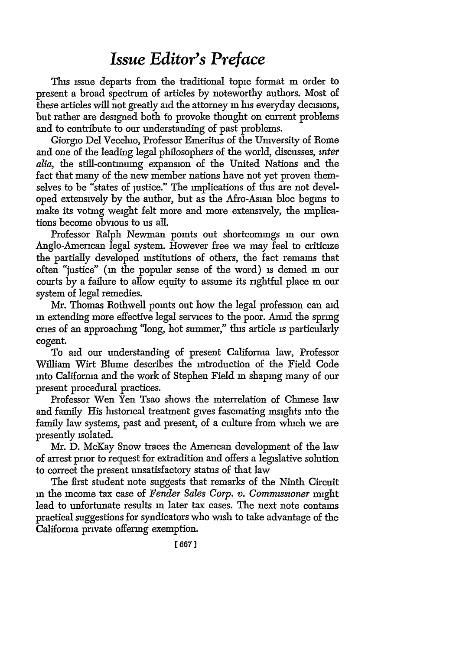## *Issue Editor's Preface*

This issue departs from the traditional topic format m order to present a broad spectrum of articles by noteworthy authors. Most of these articles will not greatly aid the attorney **in** his everyday decisions, but rather are designed both to provoke thought on current problems and to contribute to our understanding of past problems.

Giorgio Del Vecchio, Professor Emeritus of the Umversity of Rome and one of the leading legal philosophers of the world, discusses, *inter alia,* the still-continuing expansion of the United Nations and the fact that many of the new member nations have not yet proven themselves to be "states of justice." The implications of this are not developed extensively by the author, but as the Afro-Asian bloc begins to make its voting weight felt more and more extensively, the implications become obvious to us all.

Professor Ralph Newman points out shortcomings in our own Anglo-American legal system. However free we may feel to criticize the partially developed institutions of others, the fact remains that often "justice" (in the popular sense of the word) is denied in our courts by a failure to allow equity to assume its rightful place m our system of legal remedies.

Mr. Thomas Rothwell points out how the legal profession can aid **in** extending more effective legal services to the poor. Amid the spring cries of an approaching 'long, hot summer," this article is particularly cogent.

To aid our understanding of present Califorma law, Professor William Wirt Blume describes the introduction of the Field Code into California and the work of Stephen Field m shaping many of our present procedural practices.

Professor Wen Yen Tsao shows the interrelation of Chinese law and family His historical treatment gives fascinating insights into the family law systems, past and present, of a culture from which we are presently isolated.

Mr. D. McKay Snow traces the American development of the law of arrest prior to request for extradition and offers a legislative solution to correct the present unsatisfactory status of that law

The first student note suggests that remarks of the Ninth Circuit **in** the income tax case of *Fender Sales Corp. v. Commissioner* might lead to unfortunate results **in** later tax cases. The next note contains practical suggestions for syndicators who wish to take advantage of the California private offering exemption.